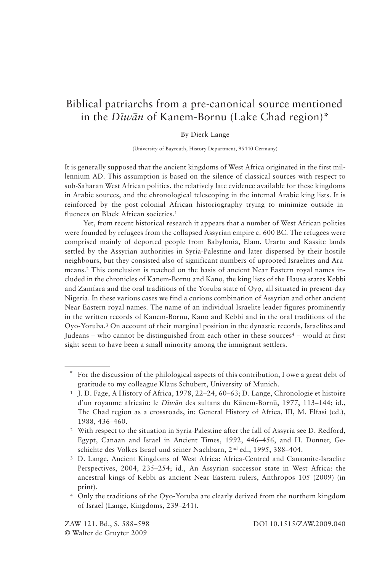# Biblical patriarchs from a pre-canonical source mentioned in the *Dīwān* of Kanem-Bornu (Lake Chad region)\*

#### By Dierk Lange

(University of Bayreuth, History Department, 95440 Germany)

It is generally supposed that the ancient kingdoms of West Africa originated in the first millennium AD. This assumption is based on the silence of classical sources with respect to sub-Saharan West African polities, the relatively late evidence available for these kingdoms in Arabic sources, and the chronological telescoping in the internal Arabic king lists. It is reinforced by the post-colonial African historiography trying to minimize outside influences on Black African societies.<sup>1</sup>

Yet, from recent historical research it appears that a number of West African polities were founded by refugees from the collapsed Assyrian empire c. 600 BC. The refugees were comprised mainly of deported people from Babylonia, Elam, Urartu and Kassite lands settled by the Assyrian authorities in Syria-Palestine and later dispersed by their hostile neighbours, but they consisted also of significant numbers of uprooted Israelites and Arameans.2 This conclusion is reached on the basis of ancient Near Eastern royal names included in the chronicles of Kanem-Bornu and Kano, the king lists of the Hausa states Kebbi and Zamfara and the oral traditions of the Yoruba state of Oyo, all situated in present-day Nigeria. In these various cases we find a curious combination of Assyrian and other ancient Near Eastern royal names. The name of an individual Israelite leader figures prominently in the written records of Kanem-Bornu, Kano and Kebbi and in the oral traditions of the Xyx-Yoruba.3 On account of their marginal position in the dynastic records, Israelites and Judeans – who cannot be distinguished from each other in these sources<sup>4</sup> – would at first sight seem to have been a small minority among the immigrant settlers.

<sup>\*</sup> For the discussion of the philological aspects of this contribution, I owe a great debt of gratitude to my colleague Klaus Schubert, University of Munich.

<sup>1</sup> J. D. Fage, A History of Africa, 1978, 22–24, 60–63; D. Lange, Chronologie et histoire d'un royaume africain: le *Diwan* des sultans du Kanem-Bornu, 1977, 113–144; id., The Chad region as a crossroads, in: General History of Africa, III, M. Elfasi (ed.), 1988, 436–460.

<sup>2</sup> With respect to the situation in Syria-Palestine after the fall of Assyria see D. Redford, Egypt, Canaan and Israel in Ancient Times, 1992, 446–456, and H. Donner, Geschichte des Volkes Israel und seiner Nachbarn, 2nd ed., 1995, 388–404.

<sup>3</sup> D. Lange, Ancient Kingdoms of West Africa: Africa-Centred and Canaanite-Israelite Perspectives, 2004, 235–254; id., An Assyrian successor state in West Africa: the ancestral kings of Kebbi as ancient Near Eastern rulers, Anthropos 105 (2009) (in print).

<sup>&</sup>lt;sup>4</sup> Only the traditions of the Qyo-Yoruba are clearly derived from the northern kingdom of Israel (Lange, Kingdoms, 239–241).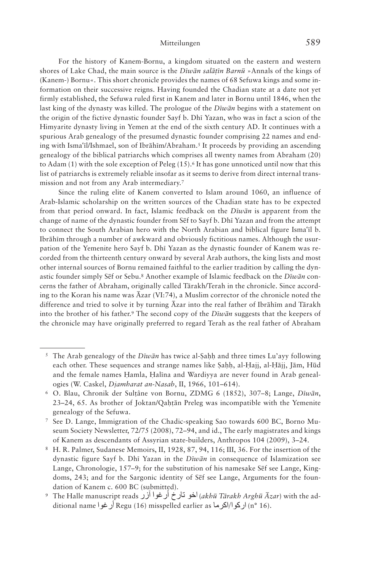For the history of Kanem-Bornu, a kingdom situated on the eastern and western shores of Lake Chad, the main source is the *Diwan salatin Barnu* »Annals of the kings of (Kanem-) Bornu«. This short chronicle provides the names of 68 Sefuwa kings and some information on their successive reigns. Having founded the Chadian state at a date not yet firmly established, the Sefuwa ruled first in Kanem and later in Bornu until 1846, when the last king of the dynasty was killed. The prologue of the *Diwan* begins with a statement on the origin of the fictive dynastic founder Sayf b. Dhi Yazan, who was in fact a scion of the Himyarite dynasty living in Yemen at the end of the sixth century AD. It continues with a spurious Arab genealogy of the presumed dynastic founder comprising 22 names and ending with Isma<sup>s</sup>il/Ishmael, son of Ibrahim/Abraham.<sup>5</sup> It proceeds by providing an ascending genealogy of the biblical patriarchs which comprises all twenty names from Abraham (20) to Adam  $(1)$  with the sole exception of Peleg  $(15)$ .<sup>6</sup> It has gone unnoticed until now that this list of patriarchs is extremely reliable insofar as it seems to derive from direct internal transmission and not from any Arab intermediary.7

Since the ruling elite of Kanem converted to Islam around 1060, an influence of Arab-Islamic scholarship on the written sources of the Chadian state has to be expected from that period onward. In fact, Islamic feedback on the *Diwan* is apparent from the change of name of the dynastic founder from Sef to Sayf b. Dhi Yazan and from the attempt to connect the South Arabian hero with the North Arabian and biblical figure Isma^il b. Ibrahim through a number of awkward and obviously fictitious names. Although the usurpation of the Yemenite hero Sayf b. Dhi Yazan as the dynastic founder of Kanem was recorded from the thirteenth century onward by several Arab authors, the king lists and most other internal sources of Bornu remained faithful to the earlier tradition by calling the dynastic founder simply Sef or Sebu.<sup>8</sup> Another example of Islamic feedback on the *Diwan* concerns the father of Abraham, originally called Tarakh/Terah in the chronicle. Since according to the Koran his name was  $\bar{A}$ zar (VI:74), a Muslim corrector of the chronicle noted the difference and tried to solve it by turning Azar into the real father of Ibrahim and Tarakh into the brother of his father.9 The second copy of the *Diwan* suggests that the keepers of the chronicle may have originally preferred to regard Terah as the real father of Abraham

<sup>5</sup> The Arab genealogy of the *Diwan* has twice al-Sahh and three times Lu'ayy following each other. These sequences and strange names like Sahh, al-Hajj, al-Hajj, Jam, Hud and the female names Hamla, Halina and Wardiyya are never found in Arab genealogies (W. Caskel, *Djamharat an-Nasab*, II, 1966, 101–614).

<sup>6</sup> O. Blau, Chronik der Sultâne von Bornu, ZDMG 6 (1852), 307–8; Lange, *Diwan*, 23–24, 65. As brother of Joktan/Qahtan Preleg was incompatible with the Yemenite genealogy of the Sefuwa.

<sup>7</sup> See D. Lange, Immigration of the Chadic-speaking Sao towards 600 BC, Borno Museum Society Newsletter, 72/75 (2008), 72–94, and id., The early magistrates and kings of Kanem as descendants of Assyrian state-builders, Anthropos 104 (2009), 3–24.

<sup>8</sup> H. R. Palmer, Sudanese Memoirs, II, 1928, 87, 94, 116; III, 36. For the insertion of the dynastic figure Sayf b. Dhi Yazan in the *Diwan* in consequence of Islamization see Lange, Chronologie, 157–9; for the substitution of his namesake Sef see Lange, Kingdoms, 243; and for the Sargonic identity of Sef see Lange, Arguments for the foundation of Kanem c. 600 BC (submitted).

<sup>9</sup> The Halle manuscript reads (*akhu Tarakh Arghu Azar*) with the additional name أر غوا Regu (16) misspelled earlier as أرغوا (n° 16).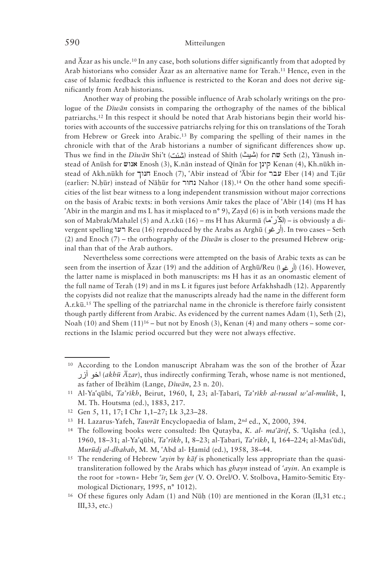and Azar as his uncle.10 In any case, both solutions differ significantly from that adopted by Arab historians who consider Azar as an alternative name for Terah.11 Hence, even in the case of Islamic feedback this influence is restricted to the Koran and does not derive significantly from Arab historians.

Another way of probing the possible influence of Arab scholarly writings on the prologue of the *Diwan* consists in comparing the orthography of the names of the biblical patriarchs.12 In this respect it should be noted that Arab historians begin their world histories with accounts of the successive patriarchs relying for this on translations of the Torah from Hebrew or Greek into Arabic.13 By comparing the spelling of their names in the chronicle with that of the Arab historians a number of significant differences show up. Thus we find in the *Dīwān* Shi't (شَيْتُ) instead of Shīth ( ) for n $\mathbf{w}$  Seth (2), Yānush instead of Anush for אנוש Enosh (3), K.nan instead of Qinan for קינן Kenan (4), Kh.nukh instead of Akh.nukh for תנוך Enoch (7), 'Abir instead of 'Abir for עבר Eber (14) and T.jur (earlier: N.hūr) instead of Nāhūr for נחור Nahor (18).<sup>14</sup> On the other hand some specificities of the list bear witness to a long independent transmission without major corrections on the basis of Arabic texts: in both versions Amir takes the place of ^Abir (14) (ms H has  $\Delta$ habir in the margin and ms L has it misplaced to n° 9), Zayd (6) is in both versions made the son of Mabrak/Mahalel (5) and A.r.ku (16) – ms H has Akurma ( ) – is obviously a divergent spelling value (أرغو) vergent spelling valued by the Arabs as Arghu (أرغو). In two cases – Seth (2) and Enoch (7) – the orthography of the *Diw* $\bar{a}$ *n* is closer to the presumed Hebrew original than that of the Arab authors.

Nevertheless some corrections were attempted on the basis of Arabic texts as can be seen from the insertion of  $\bar{A}z$ ar (19) and the addition of Arghu/Reu (أو غوا) (16). However, the latter name is misplaced in both manuscripts: ms H has it as an onomastic element of the full name of Terah (19) and in ms L it figures just before Arfakhshadh (12). Apparently the copyists did not realize that the manuscripts already had the name in the different form A.r.k $\bar{u}$ .<sup>15</sup> The spelling of the patriarchal name in the chronicle is therefore fairly consistent though partly different from Arabic. As evidenced by the current names Adam (1), Seth (2), Noah (10) and Shem  $(11)^{16}$  – but not by Enosh (3), Kenan (4) and many others – some corrections in the Islamic period occurred but they were not always effective.

<sup>10</sup> According to the London manuscript Abraham was the son of the brother of Azar اخو آزر (*akhū Āzar*), thus indirectly confirming Terah, whose name is not mentioned, as father of Ibrahim (Lange, *Diwan*, 23 n. 20).

<sup>11</sup> Al-Ya^qubi, *Ta#rikh*, Beirut, 1960, I, 23; al-Tabari, *Ta#rikh al-russul w'al-muluk*, I, M. Th. Houtsma (ed.), 1883, 217.

<sup>12</sup> Gen 5, 11, 17; I Chr 1,1–27; Lk 3,23–28.

<sup>13</sup> H. Lazarus-Yafeh, *Tawrat* Encyclopaedia of Islam, 2nd ed., X, 2000, 394.

<sup>14</sup> The following books were consulted: Ibn Qutayba, *K. al- ma^arif*, S. ^Uqasha (ed.), 1960, 18–31; al-Ya^qubi, *Ta#rikh*, I, 8–23; al-Tabari, *Ta#rikh*, I, 164–224; al-Mas^udi, *Murudj al-dhahab*, M. M, ^Abd al- Hamid (ed.), 1958, 38–44.

<sup>&</sup>lt;sup>15</sup> The rendering of Hebrew '*ayin* by  $k\bar{a}f$  is phonetically less appropriate than the quasitransliteration followed by the Arabs which has *ghayn* instead of *^ayin*. An example is the root for »town« Hebr *^ir*, Sem *ger* (V. O. Orel/O. V. Stolbova, Hamito-Semitic Etymological Dictionary, 1995, n° 1012).

<sup>&</sup>lt;sup>16</sup> Of these figures only Adam (1) and Nūh (10) are mentioned in the Koran (II, 31 etc.; III,33, etc.)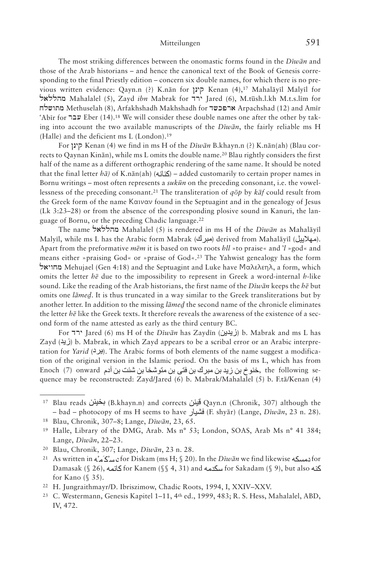The most striking differences between the onomastic forms found in the *Diwan* and those of the Arab historians – and hence the canonical text of the Book of Genesis corresponding to the final Priestly edition – concern six double names, for which there is no previous written evidence: Qayn.n (?) K.nān for קינן Kenan (4),<sup>17</sup> Mahalāyil Malyil for lXllhm Mahalalel (5), Zayd *ibn* Mabrak for dry Jared (6), M.tush.l.kh M.t.s.lim for xl>vtm Methuselah (8), Arfakhshadh Makhshadh for d>kprX Arpachshad (12) and Amir ^Abir for rbi Eber (14).18 We will consider these double names one after the other by taking into account the two available manuscripts of the *Diwan*, the fairly reliable ms H (Halle) and the deficient ms L (London).19

For ]nyq Kenan (4) we find in ms H of the *Diwan* B.khayn.n (?) K.nan(ah) (Blau corrects to Qaynan Kinan), while ms L omits the double name.20 Blau rightly considers the first half of the name as a different orthographic rendering of the same name. It should be noted that the final letter  $h\bar{a}$ *)* of K.nan(ah) (  $\Delta I$ **)** – added customarily to certain proper names in Bornu writings – most often represents a *sukun* on the preceding consonant, i.e. the vowellessness of the preceding consonant.<sup>21</sup> The transliteration of  $q\bar{q}p$  by  $k\bar{q}f$  could result from the Greek form of the name Καιναν found in the Septuagint and in the genealogy of Jesus (Lk 3:23–28) or from the absence of the corresponding plosive sound in Kanuri, the language of Bornu, or the preceding Chadic language.22

The name lXllhm Mahalalel (5) is rendered in ms H of the *Diwan* as Mahalayil Malyīl, while ms L has the Arabic form Mabrak (مبر ك) derived from Mahalāyīl (مبر ك). Apart from the preformative *mem* it is based on two roots *hll* »to praise« and '*l* »god« and means either »praising God« or »praise of God«.23 The Yahwist genealogy has the form lXyvxm Mehujael (Gen 4:18) and the Septuagint and Luke have Μαλελεηλ, a form, which omits the letter *he* due to the impossibility to represent in Greek a word-internal *h-*like sound. Like the reading of the Arab historians, the first name of the *Diwan* keeps the *he* but omits one *lameü*. It is thus truncated in a way similar to the Greek transliterations but by another letter. In addition to the missing *lameü* the second name of the chronicle eliminates the letter *he* like the Greek texts. It therefore reveals the awareness of the existence of a second form of the name attested as early as the third century BC.

For  $T$  (cyclid (6) ms H of the *Dīwān* has Zaydīn ( ) b. Mabrak and ms L has Zayd ( ) b. Mabrak, in which Zayd appears to be a scribal error or an Arabic interpretation for *Yarid* (بيرد). The Arabic forms of both elements of the name suggest a modification of the original version in the Islamic period. On the basis of ms L, which has from -the following se , خنو خ بن ز يد بن مبر ك بن فتى بن متو شخا بن شئت بن آدم Enoch (7) onward quence may be reconstructed: Zayd/Jared (6) b. Mabrak/Mahalalel (5) b. F.ta/Kenan (4)

<sup>&</sup>lt;sup>17</sup> Blau reads (B.khayn.n) and corrects فينن Qayn.n (Chronik, 307) although the – bad – photocopy of ms H seems to have (F. shyar) (Lange, *Diwan*, 23 n. 28).

<sup>18</sup> Blau, Chronik, 307–8; Lange, *Diwan*, 23, 65.

<sup>19</sup> Halle, Library of the DMG, Arab. Ms n° 53; London, SOAS, Arab Ms n° 41 384; Lange, *Diwan*, 22–23.

<sup>20</sup> Blau, Chronik, 307; Lange, *Diwan*, 23 n. 28.

<sup>&</sup>lt;sup>21</sup> As written in 4 دهسکه for Diskam (ms H; § 20). In the *Dīwān* we find likewise دهسکه for Damasak (§ 26), Sin Kanem (§ 4, 31) and مسكنها for Sakadam (§ 9), but also كانعه for Kano (§ 35).

<sup>22</sup> H. Jungraithmayr/D. Ibriszimow, Chadic Roots, 1994, I, XXIV–XXV.

<sup>23</sup> C. Westermann, Genesis Kapitel 1–11, 4th ed., 1999, 483; R. S. Hess, Mahalalel, ABD, IV, 472.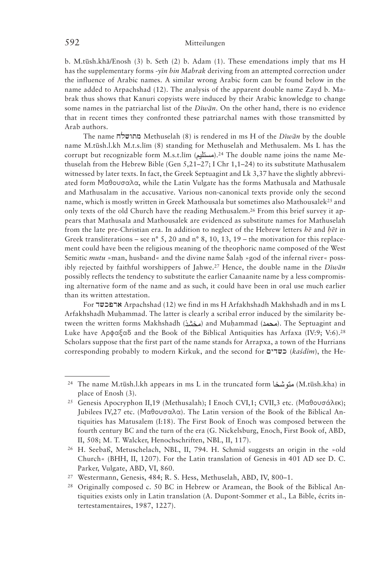b. M.tush.kha/Enosh (3) b. Seth (2) b. Adam (1). These emendations imply that ms H has the supplementary forms -*yin bin Mabrak* deriving from an attempted correction under the influence of Arabic names. A similar wrong Arabic form can be found below in the name added to Arpachshad (12). The analysis of the apparent double name Zayd b. Mabrak thus shows that Kanuri copyists were induced by their Arabic knowledge to change some names in the patriarchal list of the *Diwan*. On the other hand, there is no evidence that in recent times they confronted these patriarchal names with those transmitted by Arab authors.

The name xl>vtm Methuselah (8) is rendered in ms H of the *Diwan* by the double name M.tush.l.kh M.t.s.lim (8) standing for Methuselah and Methusalem. Ms L has the corrupt but recognizable form M.s.t.lim (مستليم).<sup>24</sup> The double name joins the name Methuselah from the Hebrew Bible (Gen 5,21–27; I Chr 1,1–24) to its substitute Mathusalem witnessed by later texts. In fact, the Greek Septuagint and Lk 3,37 have the slightly abbreviated form Μαθουσαλα, while the Latin Vulgate has the forms Mathusala and Mathusale and Mathusalam in the accusative. Various non-canonical texts provide only the second name, which is mostly written in Greek Mathousala but sometimes also Mathousalek<sup>25</sup> and only texts of the old Church have the reading Methusalem.26 From this brief survey it appears that Mathusala and Mathousalek are evidenced as substitute names for Mathuselah from the late pre-Christian era. In addition to neglect of the Hebrew letters *he* and *het* in Greek transliterations – see n° 5, 20 and n° 8, 10, 13, 19 – the motivation for this replacement could have been the religious meaning of the theophoric name composed of the West Semitic *mutu* »man, husband« and the divine name Šalah »god of the infernal river« possibly rejected by faithful worshippers of Jahwe.27 Hence, the double name in the *Diwan* possibly reflects the tendency to substitute the earlier Canaanite name by a less compromising alternative form of the name and as such, it could have been in oral use much earlier than its written attestation.

For d>kprX Arpachshad (12) we find in ms H Arfakhshadh Makhshadh and in ms L Arfakhshadh Muhammad. The latter is clearly a scribal error induced by the similarity between the written forms Makhshadh (مختلف) and Muhammad (مختلف). The Septuagint and Luke have Aρφαξαδ and the Book of the Biblical Antiquities has Arfaxa (IV:9; V:6).<sup>28</sup> Scholars suppose that the first part of the name stands for Arrapxa, a town of the Hurrians corresponding probably to modern Kirkuk, and the second for **עשדים** (*kaśdîm*), the He-

<sup>&</sup>lt;sup>24</sup> The name M.tūsh.l.kh appears in ms L in the truncated form متوشحا (M.tūsh.kha) in place of Enosh (3).

<sup>&</sup>lt;sup>25</sup> Genesis Apocryphon II,19 (Methusalah); I Enoch CVI,1; CVII,3 etc. (Μαθουσάλεκ); Jubilees IV,27 etc. (Μαθουσαλα). The Latin version of the Book of the Biblical Antiquities has Matusalem (I:18). The First Book of Enoch was composed between the fourth century BC and the turn of the era (G. Nickelsburg, Enoch, First Book of, ABD, II, 508; M. T. Walcker, Henochschriften, NBL, II, 117).

<sup>26</sup> H. Seebaß, Metuschelach, NBL, II, 794. H. Schmid suggests an origin in the »old Church« (BHH, II, 1207). For the Latin translation of Genesis in 401 AD see D. C. Parker, Vulgate, ABD, VI, 860.

<sup>27</sup> Westermann, Genesis, 484; R. S. Hess, Methuselah, ABD, IV, 800–1.

<sup>28</sup> Originally composed c. 50 BC in Hebrew or Aramean, the Book of the Biblical Antiquities exists only in Latin translation (A. Dupont-Sommer et al., La Bible, écrits intertestamentaires, 1987, 1227).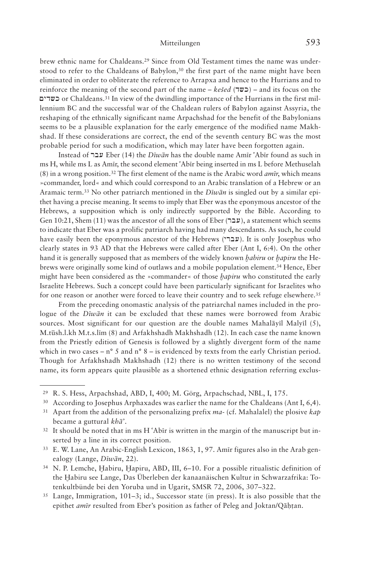brew ethnic name for Chaldeans.29 Since from Old Testament times the name was understood to refer to the Chaldeans of Babylon,<sup>30</sup> the first part of the name might have been eliminated in order to obliterate the reference to Arrapxa and hence to the Hurrians and to reinforce the meaning of the second part of the name –  $ke\check{se}d$  ( $\nabla$ ) – and its focus on the ,yd>k or Chaldeans.31 In view of the dwindling importance of the Hurrians in the first millennium BC and the successful war of the Chaldean rulers of Babylon against Assyria, the reshaping of the ethnically significant name Arpachshad for the benefit of the Babylonians seems to be a plausible explanation for the early emergence of the modified name Makhshad. If these considerations are correct, the end of the seventh century BC was the most probable period for such a modification, which may later have been forgotten again.

Instead of rbi Eber (14) the *Diwan* has the double name Amir ^Abir found as such in ms H, while ms L as Amir, the second element ^Abir being inserted in ms L before Methuselah (8) in a wrong position.32 The first element of the name is the Arabic word *amir*, which means »commander, lord« and which could correspond to an Arabic translation of a Hebrew or an Aramaic term.33 No other patriarch mentioned in the *Diwan* is singled out by a similar epithet having a precise meaning. It seems to imply that Eber was the eponymous ancestor of the Hebrews, a supposition which is only indirectly supported by the Bible. According to Gen 10:21, Shem (11) was the ancestor of all the sons of Eber (עבר), a statement which seems to indicate that Eber was a prolific patriarch having had many descendants. As such, he could have easily been the eponymous ancestor of the Hebrews (עברי). It is only Josephus who clearly states in 93 AD that the Hebrews were called after Eber (Ant I, 6:4). On the other hand it is generally supposed that as members of the widely known *habiru* or *hapiru* the Hebrews were originally some kind of outlaws and a mobile population element.34 Hence, Eber might have been considered as the »commander« of those *äapiru* who constituted the early Israelite Hebrews. Such a concept could have been particularly significant for Israelites who for one reason or another were forced to leave their country and to seek refuge elsewhere.35

From the preceding onomastic analysis of the patriarchal names included in the prologue of the *Diwan* it can be excluded that these names were borrowed from Arabic sources. Most significant for our question are the double names Mahalayil Malyil (5), M.tush.l.kh M.t.s.lim (8) and Arfakhshadh Makhshadh (12). In each case the name known from the Priestly edition of Genesis is followed by a slightly divergent form of the name which in two cases –  $n^{\circ}$  5 and  $n^{\circ}$  8 – is evidenced by texts from the early Christian period. Though for Arfakhshadh Makhshadh (12) there is no written testimony of the second name, its form appears quite plausible as a shortened ethnic designation referring exclus-

<sup>29</sup> R. S. Hess, Arpachshad, ABD, I, 400; M. Görg, Arpachschad, NBL, I, 175.

<sup>&</sup>lt;sup>30</sup> According to Josephus Arphaxades was earlier the name for the Chaldeans (Ant I, 6,4).

<sup>31</sup> Apart from the addition of the personalizing prefix *ma-* (cf. Mahalalel) the plosive *kap* became a guttural *kh* $\bar{a}$ <sup>2</sup>.

 $32$  It should be noted that in ms H  $\Delta$ Abir is written in the margin of the manuscript but inserted by a line in its correct position.

<sup>33</sup> E. W. Lane, An Arabic-English Lexicon, 1863, 1, 97. Amir figures also in the Arab genealogy (Lange, *Diwan*, 22).

<sup>34</sup> N. P. Lemche, Äabiru, Äapiru, ABD, III, 6–10. For a possible ritualistic definition of the Äabiru see Lange, Das Überleben der kanaanäischen Kultur in Schwarzafrika: Totenkultbünde bei den Yoruba und in Ugarit, SMSR 72, 2006, 307–322.

<sup>35</sup> Lange, Immigration, 101–3; id., Successor state (in press). It is also possible that the epithet *amir* resulted from Eber's position as father of Peleg and Joktan/Qahtan.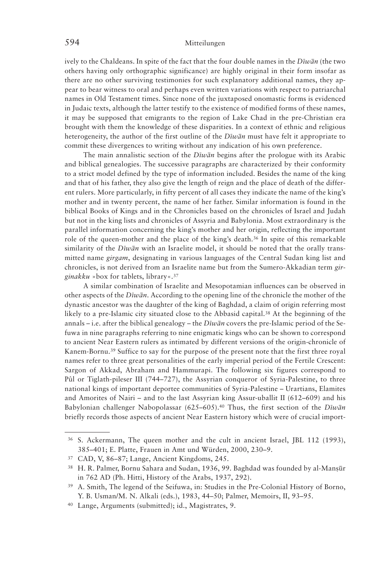ively to the Chaldeans. In spite of the fact that the four double names in the *Diwan* (the two others having only orthographic significance) are highly original in their form insofar as there are no other surviving testimonies for such explanatory additional names, they appear to bear witness to oral and perhaps even written variations with respect to patriarchal names in Old Testament times. Since none of the juxtaposed onomastic forms is evidenced in Judaic texts, although the latter testify to the existence of modified forms of these names, it may be supposed that emigrants to the region of Lake Chad in the pre-Christian era brought with them the knowledge of these disparities. In a context of ethnic and religious heterogeneity, the author of the first outline of the *Diwan* must have felt it appropriate to commit these divergences to writing without any indication of his own preference.

The main annalistic section of the *Diwan* begins after the prologue with its Arabic and biblical genealogies. The successive paragraphs are characterized by their conformity to a strict model defined by the type of information included. Besides the name of the king and that of his father, they also give the length of reign and the place of death of the different rulers. More particularly, in fifty percent of all cases they indicate the name of the king's mother and in twenty percent, the name of her father. Similar information is found in the biblical Books of Kings and in the Chronicles based on the chronicles of Israel and Judah but not in the king lists and chronicles of Assyria and Babylonia. Most extraordinary is the parallel information concerning the king's mother and her origin, reflecting the important role of the queen-mother and the place of the king's death.36 In spite of this remarkable similarity of the *Dīwān* with an Israelite model, it should be noted that the orally transmitted name *girgam*, designating in various languages of the Central Sudan king list and chronicles, is not derived from an Israelite name but from the Sumero-Akkadian term *girginakku* »box for tablets, library«.37

A similar combination of Israelite and Mesopotamian influences can be observed in other aspects of the *Diwan*. According to the opening line of the chronicle the mother of the dynastic ancestor was the daughter of the king of Baghdad, a claim of origin referring most likely to a pre-Islamic city situated close to the Abbasid capital.38 At the beginning of the annals – i.e. after the biblical genealogy – the *Diwan* covers the pre-Islamic period of the Sefuwa in nine paragraphs referring to nine enigmatic kings who can be shown to correspond to ancient Near Eastern rulers as intimated by different versions of the origin-chronicle of Kanem-Bornu.39 Suffice to say for the purpose of the present note that the first three royal names refer to three great personalities of the early imperial period of the Fertile Crescent: Sargon of Akkad, Abraham and Hammurapi. The following six figures correspond to Pûl or Tiglath-pileser III (744–727), the Assyrian conqueror of Syria-Palestine, to three national kings of important deportee communities of Syria-Palestine – Urartians, Elamites and Amorites of Nairi – and to the last Assyrian king Assur-uballit II (612–609) and his Babylonian challenger Nabopolassar (625–605).40 Thus, the first section of the *Diwan* briefly records those aspects of ancient Near Eastern history which were of crucial import-

<sup>36</sup> S. Ackermann, The queen mother and the cult in ancient Israel, JBL 112 (1993), 385–401; E. Platte, Frauen in Amt und Würden, 2000, 230–9.

<sup>37</sup> CAD, V, 86–87; Lange, Ancient Kingdoms, 245.

<sup>&</sup>lt;sup>38</sup> H. R. Palmer, Bornu Sahara and Sudan, 1936, 99. Baghdad was founded by al-Mansūr in 762 AD (Ph. Hitti, History of the Arabs, 1937, 292).

<sup>39</sup> A. Smith, The legend of the Seifuwa, in: Studies in the Pre-Colonial History of Borno, Y. B. Usman/M. N. Alkali (eds.), 1983, 44–50; Palmer, Memoirs, II, 93–95.

<sup>40</sup> Lange, Arguments (submitted); id., Magistrates, 9.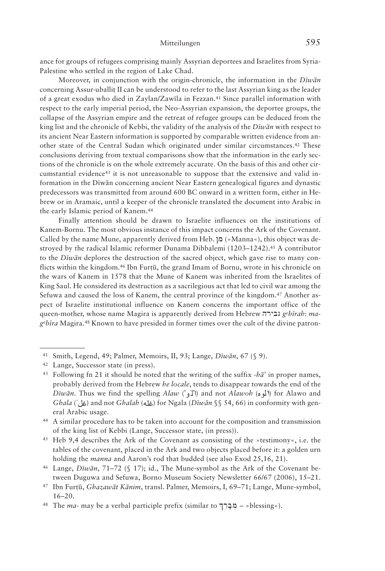ance for groups of refugees comprising mainly Assyrian deportees and Israelites from Syria-Palestine who settled in the region of Lake Chad.

Moreover, in conjunction with the origin-chronicle, the information in the *Diwan* concerning Assur-uballit II can be understood to refer to the last Assyrian king as the leader of a great exodus who died in Zaylan/Zawila in Fezzan.41 Since parallel information with respect to the early imperial period, the Neo-Assyrian expansion, the deportee groups, the collapse of the Assyrian empire and the retreat of refugee groups can be deduced from the king list and the chronicle of Kebbi, the validity of the analysis of the *Diwan* with respect to its ancient Near Eastern information is supported by comparable written evidence from another state of the Central Sudan which originated under similar circumstances.42 These conclusions deriving from textual comparisons show that the information in the early sections of the chronicle is on the whole extremely accurate. On the basis of this and other circumstantial evidence<sup>43</sup> it is not unreasonable to suppose that the extensive and valid information in the Diwan concerning ancient Near Eastern genealogical figures and dynastic predecessors was transmitted from around 600 BC onward in a written form, either in Hebrew or in Aramaic, until a keeper of the chronicle translated the document into Arabic in the early Islamic period of Kanem.44

Finally attention should be drawn to Israelite influences on the institutions of Kanem-Bornu. The most obvious instance of this impact concerns the Ark of the Covenant. Called by the name Mune, apparently derived from Heb.  $\alpha$  (»Manna«), this object was destroyed by the radical Islamic reformer Dunama Dibbalemi (1203–1242).<sup>45</sup> A contributor to the *Diwan* deplores the destruction of the sacred object, which gave rise to many conflicts within the kingdom.<sup>46</sup> Ibn Furtu, the grand Imam of Bornu, wrote in his chronicle on the wars of Kanem in 1578 that the Mune of Kanem was inherited from the Israelites of King Saul. He considered its destruction as a sacrilegious act that led to civil war among the Sefuwa and caused the loss of Kanem, the central province of the kingdom.47 Another aspect of Israelite institutional influence on Kanem concerns the important office of the queen-mother, whose name Magira is apparently derived from Hebrew hrybg *gebîrah*: *magebîra* Magira.48 Known to have presided in former times over the cult of the divine patron-

<sup>41</sup> Smith, Legend, 49; Palmer, Memoirs, II, 93; Lange, *Diwan*, 67 (§ 9).

<sup>42</sup> Lange, Successor state (in press).

<sup>&</sup>lt;sup>43</sup> Following fn 21 it should be noted that the writing of the suffix *-ha*<sup>2</sup> in proper names, probably derived from the Hebrew *he locale*, tends to disappear towards the end of the *Dīwān*. Thus we find the spelling *Alaw* ('لَمْو ) and not *Alawoh* ( ) ( ) for Alawo and *Ghala* ((*غل*ّ) and not *Ghalah* (غلّ) for Ngala (*Dīwān* §§ 54, 66) in conformity with general Arabic usage.

<sup>44</sup> A similar procedure has to be taken into account for the composition and transmission of the king list of Kebbi (Lange, Successor state, (in press)).

<sup>45</sup> Heb 9,4 describes the Ark of the Covenant as consisting of the »testimony«, i.e. the tables of the covenant, placed in the Ark and two objects placed before it: a golden urn holding the *manna* and Aaron's rod that budded (see also Exod 25,16, 21).

<sup>46</sup> Lange, *Diwan*, 71–72 (§ 17); id., The Mune-symbol as the Ark of the Covenant between Duguwa and Sefuwa, Borno Museum Society Newsletter 66/67 (2006), 15–21.

<sup>47</sup> Ibn Furtu, *Ghazawat Kanim*, transl. Palmer, Memoirs, I, 69–71; Lange, Mune-symbol, 16–20.

<sup>48</sup> The *ma*- may be a verbal participle prefix (similar to  $\frac{1}{2}$  = »blessing«).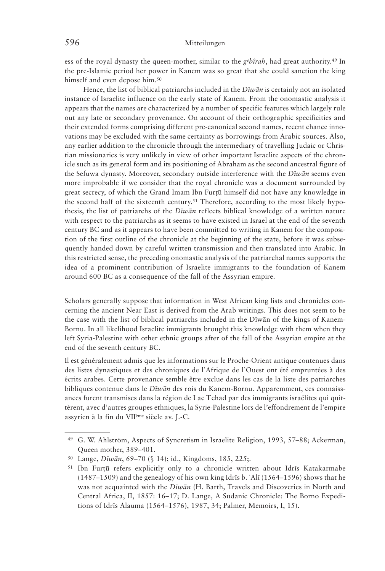ess of the royal dynasty the queen-mother, similar to the *gebîrah*, had great authority.49 In the pre-Islamic period her power in Kanem was so great that she could sanction the king himself and even depose him.<sup>50</sup>

Hence, the list of biblical patriarchs included in the *Diwan* is certainly not an isolated instance of Israelite influence on the early state of Kanem. From the onomastic analysis it appears that the names are characterized by a number of specific features which largely rule out any late or secondary provenance. On account of their orthographic specificities and their extended forms comprising different pre-canonical second names, recent chance innovations may be excluded with the same certainty as borrowings from Arabic sources. Also, any earlier addition to the chronicle through the intermediary of travelling Judaic or Christian missionaries is very unlikely in view of other important Israelite aspects of the chronicle such as its general form and its positioning of Abraham as the second ancestral figure of the Sefuwa dynasty. Moreover, secondary outside interference with the *Diwan* seems even more improbable if we consider that the royal chronicle was a document surrounded by great secrecy, of which the Grand Imam Ibn Furtu himself did not have any knowledge in the second half of the sixteenth century.<sup>51</sup> Therefore, according to the most likely hypothesis, the list of patriarchs of the *Diwan* reflects biblical knowledge of a written nature with respect to the patriarchs as it seems to have existed in Israel at the end of the seventh century BC and as it appears to have been committed to writing in Kanem for the composition of the first outline of the chronicle at the beginning of the state, before it was subsequently handed down by careful written transmission and then translated into Arabic. In this restricted sense, the preceding onomastic analysis of the patriarchal names supports the idea of a prominent contribution of Israelite immigrants to the foundation of Kanem around 600 BC as a consequence of the fall of the Assyrian empire.

Scholars generally suppose that information in West African king lists and chronicles concerning the ancient Near East is derived from the Arab writings. This does not seem to be the case with the list of biblical patriarchs included in the Diwan of the kings of Kanem-Bornu. In all likelihood Israelite immigrants brought this knowledge with them when they left Syria-Palestine with other ethnic groups after of the fall of the Assyrian empire at the end of the seventh century BC.

Il est généralement admis que les informations sur le Proche-Orient antique contenues dans des listes dynastiques et des chroniques de l'Afrique de l'Ouest ont été empruntées à des écrits arabes. Cette provenance semble être exclue dans les cas de la liste des patriarches bibliques contenue dans le *Diwan* des rois du Kanem-Bornu. Apparemment, ces connaissances furent transmises dans la région de Lac Tchad par des immigrants israélites qui quittèrent, avec d'autres groupes ethniques, la Syrie-Palestine lors de l'effondrement de l'empire assyrien à la fin du VIIème siècle av. J.-C.

<sup>49</sup> G. W. Ahlström, Aspects of Syncretism in Israelite Religion, 1993, 57–88; Ackerman, Queen mother, 389–401.

<sup>50</sup> Lange, *Diwan*, 69–70 (§ 14); id., Kingdoms, 185, 225;.

<sup>&</sup>lt;sup>51</sup> Ibn Furtū refers explicitly only to a chronicle written about Idris Katakarmabe  $(1487-1509)$  and the genealogy of his own king Idris b.  $\text{\textdegree{A}}$  (1564–1596) shows that he was not acquainted with the *Diwan* (H. Barth, Travels and Discoveries in North and Central Africa, II, 1857: 16–17; D. Lange, A Sudanic Chronicle: The Borno Expeditions of Idris Alauma (1564–1576), 1987, 34; Palmer, Memoirs, I, 15).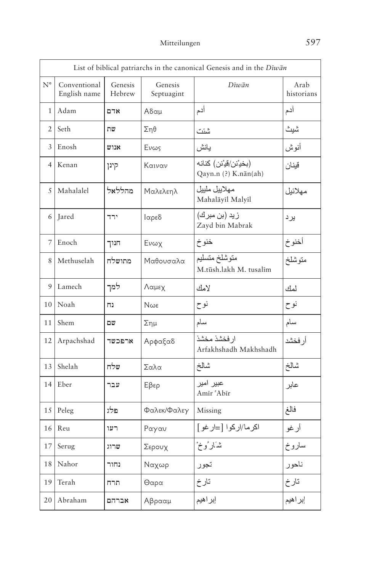| List of biblical patriarchs in the canonical Genesis and in the Dīwān |                              |                   |                       |                                              |                    |
|-----------------------------------------------------------------------|------------------------------|-------------------|-----------------------|----------------------------------------------|--------------------|
| $N^{\circ}$                                                           | Conventional<br>English name | Genesis<br>Hebrew | Genesis<br>Septuagint | Dīwān                                        | Arab<br>historians |
| $\mathbf{1}$                                                          | Adam                         | אדם               | Αδαμ                  | أدم                                          | آدم                |
| $\overline{2}$                                                        | Seth                         | שת                | $\Sigma$ nθ           | شئت                                          | شيث                |
| 3                                                                     | Enosh                        | אנוש              | Ενως                  | يانش                                         | أنوش               |
| $\overline{4}$                                                        | Kenan                        | קינן              | Καιναν                | (بخيْنن/قيْنن) كنانه<br>Qayn.n (?) K.nān(ah) | قينان              |
| 5                                                                     | Mahalalel                    | מהללאל            | Μαλελεηλ              | مهلاييل ملييل<br>Mahalāyīl Malyīl            | مهلائيل            |
| 6                                                                     | Jared                        | ירד               | Ιαρεδ                 | زيد (بن مبرك)<br>Zayd bin Mabrak             | یر د               |
| 7                                                                     | Enoch                        | חנוך              | Ενωχ                  | خنوخ                                         | أخنوخ              |
| 8                                                                     | Methuselah                   | מתושלח            | Μαθουσαλα             | متوشلخ متسليم<br>M.tūsh.lakh M. tusalīm      | متوشلخ             |
| 9                                                                     | Lamech                       | למך               | Λαμεχ                 | لامك                                         | لمك                |
| 10                                                                    | Noah                         | נח                | Νωε                   | نوح                                          | نوح                |
| 11                                                                    | Shem                         | שם                | $\Sigma$ ημ           | سام                                          | سام                |
| 12                                                                    | Arpachshad                   | ארפכשד            | Αρφαξαδ               | ار فخشذ مخشذ<br>Arfakhshadh Makhshadh        | أر فخشد            |
| 13                                                                    | Shelah                       | שלח               | Σαλα                  | شالخ                                         | شالخ               |
| 14                                                                    | Eber                         | עבר               | Εβερ                  | عبير امير<br>Amīr 'Abīr                      | عابر               |
| 15                                                                    | Peleg                        | פלג               | Φαλεκ/Φαλεγ           | Missing                                      | فالغ               |
| 16                                                                    | Reu                          | רעו               | Ραγαυ                 | اكر ما/اركوا [=ارغو]                         | أر غو              |
| 17                                                                    | Serug                        | שרוג              | Σερουχ                | شَدَار ُوخْ                                  | ساروخ              |
| 18                                                                    | Nahor                        | נחור              | Ναχωρ                 | تجور                                         | ناحور              |
| 19                                                                    | Terah                        | תרח               | Θαρα                  | تارخ                                         | تارخ               |
| 20                                                                    | Abraham                      | אברהם             | Αβρααμ                | إبراهيم                                      | إبراهيم            |